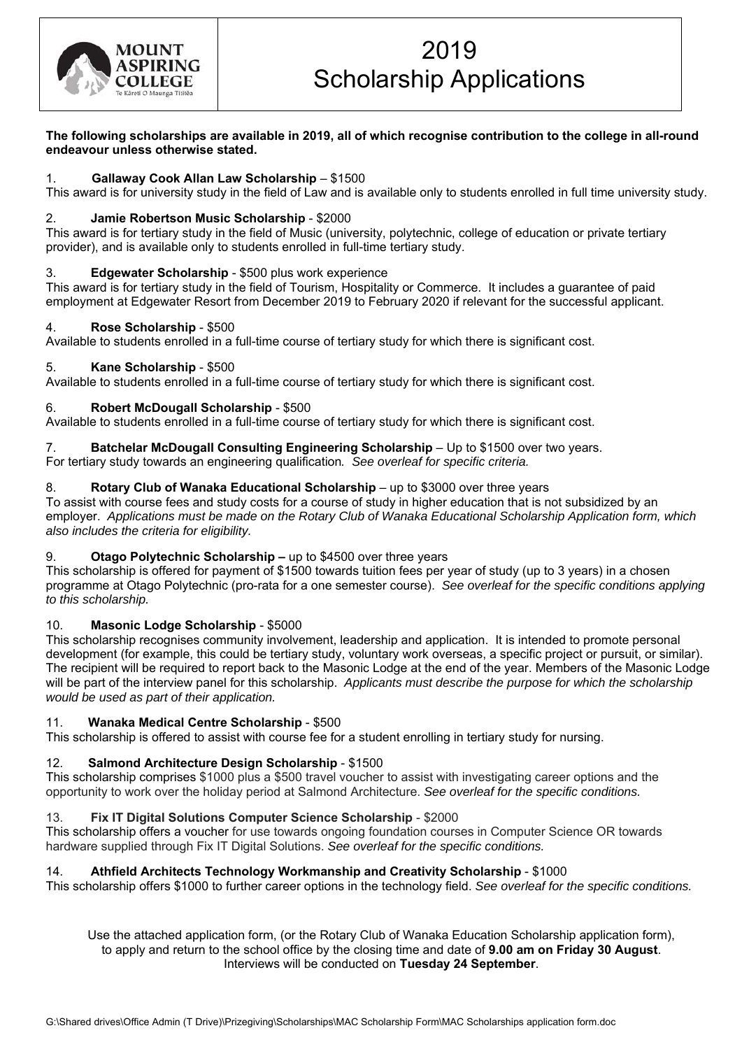

# 2019 Scholarship Applications

**The following scholarships are available in 2019, all of which recognise contribution to the college in all-round endeavour unless otherwise stated.**

# 1. **Gallaway Cook Allan Law Scholarship** – \$1500

This award is for university study in the field of Law and is available only to students enrolled in full time university study.

# 2. **Jamie Robertson Music Scholarship** - \$2000

This award is for tertiary study in the field of Music (university, polytechnic, college of education or private tertiary provider), and is available only to students enrolled in full-time tertiary study.

# 3. **Edgewater Scholarship** - \$500 plus work experience

This award is for tertiary study in the field of Tourism, Hospitality or Commerce. It includes a guarantee of paid employment at Edgewater Resort from December 2019 to February 2020 if relevant for the successful applicant.

#### 4. **Rose Scholarship** - \$500

Available to students enrolled in a full-time course of tertiary study for which there is significant cost.

### 5. **Kane Scholarship** - \$500

Available to students enrolled in a full-time course of tertiary study for which there is significant cost.

# 6. **Robert McDougall Scholarship** - \$500

Available to students enrolled in a full-time course of tertiary study for which there is significant cost.

### 7. **Batchelar McDougall Consulting Engineering Scholarship** – Up to \$1500 over two years.

For tertiary study towards an engineering qualification*. See overleaf for specific criteria.*

# 8. **Rotary Club of Wanaka Educational Scholarship** – up to \$3000 over three years

To assist with course fees and study costs for a course of study in higher education that is not subsidized by an employer. *Applications must be made on the Rotary Club of Wanaka Educational Scholarship Application form, which also includes the criteria for eligibility.*

### 9. **Otago Polytechnic Scholarship –** up to \$4500 over three years

This scholarship is offered for payment of \$1500 towards tuition fees per year of study (up to 3 years) in a chosen programme at Otago Polytechnic (pro-rata for a one semester course). *See overleaf for the specific conditions applying to this scholarship.*

### 10. **Masonic Lodge Scholarship** - \$5000

This scholarship recognises community involvement, leadership and application. It is intended to promote personal development (for example, this could be tertiary study, voluntary work overseas, a specific project or pursuit, or similar). The recipient will be required to report back to the Masonic Lodge at the end of the year. Members of the Masonic Lodge will be part of the interview panel for this scholarship. *Applicants must describe the purpose for which the scholarship would be used as part of their application.*

### 11. **Wanaka Medical Centre Scholarship** - \$500

This scholarship is offered to assist with course fee for a student enrolling in tertiary study for nursing.

### 12. **Salmond Architecture Design Scholarship** - \$1500

This scholarship comprises \$1000 plus a \$500 travel voucher to assist with investigating career options and the opportunity to work over the holiday period at Salmond Architecture. *See overleaf for the specific conditions.*

### 13. **Fix IT Digital Solutions Computer Science Scholarship** - \$2000

This scholarship offers a voucher for use towards ongoing foundation courses in Computer Science OR towards hardware supplied through Fix IT Digital Solutions. *See overleaf for the specific conditions.* 

### 14. **Athfield Architects Technology Workmanship and Creativity Scholarship** - \$1000

This scholarship offers \$1000 to further career options in the technology field. *See overleaf for the specific conditions.* 

Use the attached application form, (or the Rotary Club of Wanaka Education Scholarship application form), to apply and return to the school office by the closing time and date of **9.00 am on Friday 30 August**. Interviews will be conducted on **Tuesday 24 September**.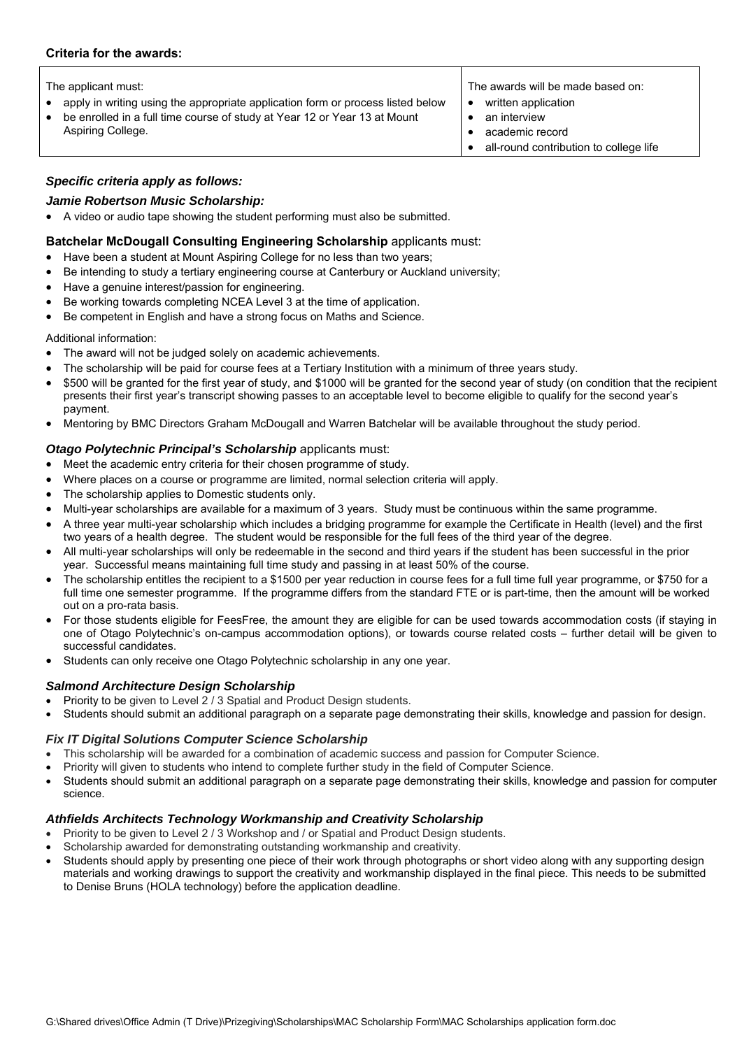#### **Criteria for the awards:**

- apply in writing using the appropriate application form or process listed below  $\bullet$  written application
- be enrolled in a full time course of study at Year 12 or Year 13 at Mount Aspiring College.

The applicant must: The avariation of the awards will be made based on:

- 
- an interview
- academic record
- all-round contribution to college life

# *Specific criteria apply as follows:*

#### *Jamie Robertson Music Scholarship:*

A video or audio tape showing the student performing must also be submitted.

#### **Batchelar McDougall Consulting Engineering Scholarship** applicants must:

- Have been a student at Mount Aspiring College for no less than two years;
- Be intending to study a tertiary engineering course at Canterbury or Auckland university;
- Have a genuine interest/passion for engineering.
- Be working towards completing NCEA Level 3 at the time of application.
- Be competent in English and have a strong focus on Maths and Science.

#### Additional information:

- The award will not be judged solely on academic achievements.
- The scholarship will be paid for course fees at a Tertiary Institution with a minimum of three years study.
- \$500 will be granted for the first year of study, and \$1000 will be granted for the second year of study (on condition that the recipient presents their first year's transcript showing passes to an acceptable level to become eligible to qualify for the second year's payment.
- Mentoring by BMC Directors Graham McDougall and Warren Batchelar will be available throughout the study period.

# *Otago Polytechnic Principal's Scholarship* applicants must:

- Meet the academic entry criteria for their chosen programme of study.
- Where places on a course or programme are limited, normal selection criteria will apply.
- The scholarship applies to Domestic students only.
- Multi-year scholarships are available for a maximum of 3 years. Study must be continuous within the same programme.
- A three year multi-year scholarship which includes a bridging programme for example the Certificate in Health (level) and the first two years of a health degree. The student would be responsible for the full fees of the third year of the degree.
- All multi-year scholarships will only be redeemable in the second and third years if the student has been successful in the prior year. Successful means maintaining full time study and passing in at least 50% of the course.
- The scholarship entitles the recipient to a \$1500 per year reduction in course fees for a full time full year programme, or \$750 for a full time one semester programme. If the programme differs from the standard FTE or is part-time, then the amount will be worked out on a pro-rata basis.
- For those students eligible for FeesFree, the amount they are eligible for can be used towards accommodation costs (if staying in one of Otago Polytechnic's on-campus accommodation options), or towards course related costs – further detail will be given to successful candidates.
- Students can only receive one Otago Polytechnic scholarship in any one year.

### *Salmond Architecture Design Scholarship*

- Priority to be given to Level 2 / 3 Spatial and Product Design students.
- Students should submit an additional paragraph on a separate page demonstrating their skills, knowledge and passion for design.

### *Fix IT Digital Solutions Computer Science Scholarship*

- This scholarship will be awarded for a combination of academic success and passion for Computer Science.
- Priority will given to students who intend to complete further study in the field of Computer Science.
- Students should submit an additional paragraph on a separate page demonstrating their skills, knowledge and passion for computer science.

### *Athfields Architects Technology Workmanship and Creativity Scholarship*

- Priority to be given to Level 2 / 3 Workshop and / or Spatial and Product Design students.
- Scholarship awarded for demonstrating outstanding workmanship and creativity.
- Students should apply by presenting one piece of their work through photographs or short video along with any supporting design materials and working drawings to support the creativity and workmanship displayed in the final piece. This needs to be submitted to Denise Bruns (HOLA technology) before the application deadline.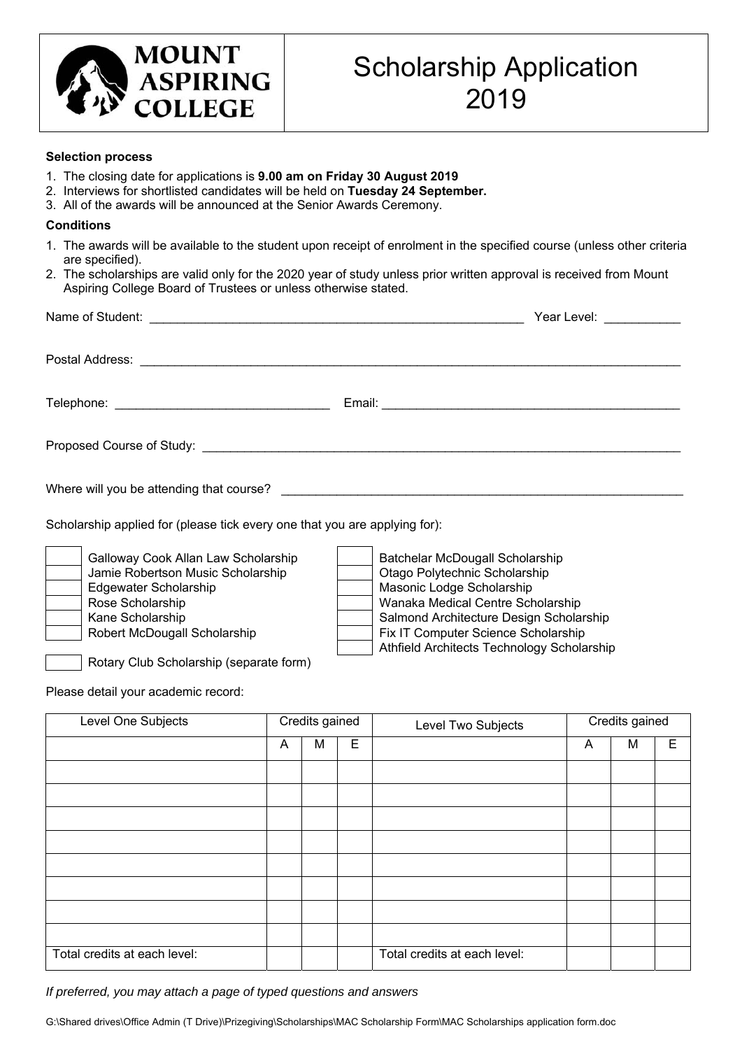

#### **Selection process**

- 1. The closing date for applications is **9.00 am on Friday 30 August 2019**
- 2. Interviews for shortlisted candidates will be held on **Tuesday 24 September.**
- 3. All of the awards will be announced at the Senior Awards Ceremony.

#### **Conditions**

- 1. The awards will be available to the student upon receipt of enrolment in the specified course (unless other criteria are specified).
- 2. The scholarships are valid only for the 2020 year of study unless prior written approval is received from Mount Aspiring College Board of Trustees or unless otherwise stated.

|                                                                            | Year Level: ___________ |
|----------------------------------------------------------------------------|-------------------------|
|                                                                            |                         |
|                                                                            |                         |
|                                                                            |                         |
|                                                                            |                         |
| Scholarship applied for (please tick every one that you are applying for): |                         |

| Galloway Cook Allan Law Scholarship |
|-------------------------------------|
| Jamie Robertson Music Scholarship   |
| Edgewater Scholarship               |
| Rose Scholarship                    |
| Kane Scholarship                    |
| Robert McDougall Scholarship        |
|                                     |
|                                     |

Batchelar McDougall Scholarship **Otago Polytechnic Scholarship Masonic Lodge Scholarship** Wanaka Medical Centre Scholarship Salmond Architecture Design Scholarship Fix IT Computer Science Scholarship Athfield Architects Technology Scholarship

Rotary Club Scholarship (separate form)

Please detail your academic record:

| Level One Subjects           | Credits gained |   |   | Level Two Subjects           |   | Credits gained |   |  |
|------------------------------|----------------|---|---|------------------------------|---|----------------|---|--|
|                              | A              | M | Е |                              | A | м              | E |  |
|                              |                |   |   |                              |   |                |   |  |
|                              |                |   |   |                              |   |                |   |  |
|                              |                |   |   |                              |   |                |   |  |
|                              |                |   |   |                              |   |                |   |  |
|                              |                |   |   |                              |   |                |   |  |
|                              |                |   |   |                              |   |                |   |  |
|                              |                |   |   |                              |   |                |   |  |
|                              |                |   |   |                              |   |                |   |  |
| Total credits at each level: |                |   |   | Total credits at each level: |   |                |   |  |

*If preferred, you may attach a page of typed questions and answers* 

G:\Shared drives\Office Admin (T Drive)\Prizegiving\Scholarships\MAC Scholarship Form\MAC Scholarships application form.doc